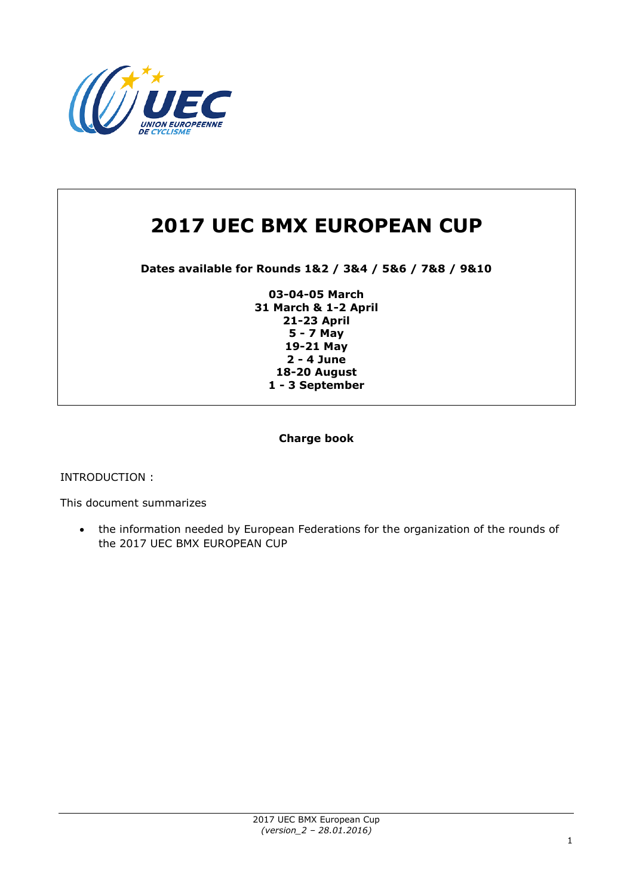

# **2017 UEC BMX EUROPEAN CUP**

**Dates available for Rounds 1&2 / 3&4 / 5&6 / 7&8 / 9&10**

**03-04-05 March 31 March & 1-2 April 21-23 April 5 - 7 May 19-21 May 2 - 4 June 18-20 August 1 - 3 September**

### **Charge book**

INTRODUCTION :

This document summarizes

 the information needed by European Federations for the organization of the rounds of the 2017 UEC BMX EUROPEAN CUP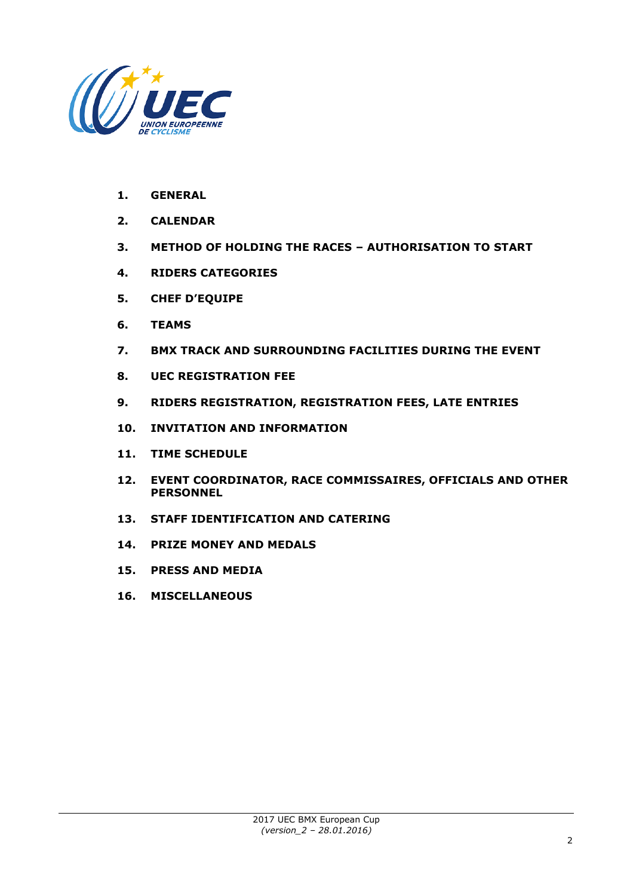

- **1. GENERAL**
- **2. CALENDAR**
- **3. METHOD OF HOLDING THE RACES – AUTHORISATION TO START**
- **4. RIDERS CATEGORIES**
- **5. CHEF D'EQUIPE**
- **6. TEAMS**
- **7. BMX TRACK AND SURROUNDING FACILITIES DURING THE EVENT**
- **8. UEC REGISTRATION FEE**
- **9. RIDERS REGISTRATION, REGISTRATION FEES, LATE ENTRIES**
- **10. INVITATION AND INFORMATION**
- **11. TIME SCHEDULE**
- **12. EVENT COORDINATOR, RACE COMMISSAIRES, OFFICIALS AND OTHER PERSONNEL**
- **13. STAFF IDENTIFICATION AND CATERING**
- **14. PRIZE MONEY AND MEDALS**
- **15. PRESS AND MEDIA**
- **16. MISCELLANEOUS**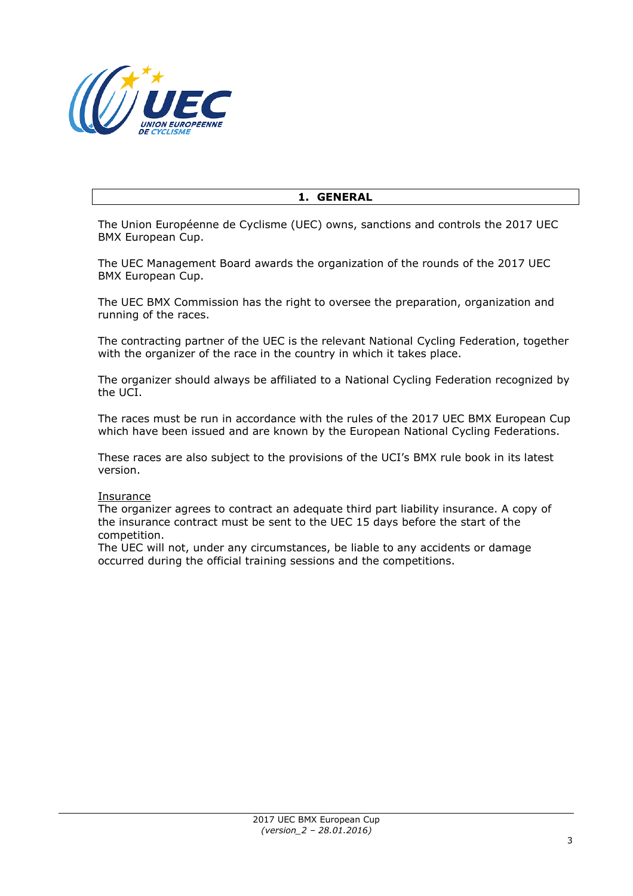

### **1. GENERAL**

The Union Européenne de Cyclisme (UEC) owns, sanctions and controls the 2017 UEC BMX European Cup.

The UEC Management Board awards the organization of the rounds of the 2017 UEC BMX European Cup.

The UEC BMX Commission has the right to oversee the preparation, organization and running of the races.

The contracting partner of the UEC is the relevant National Cycling Federation, together with the organizer of the race in the country in which it takes place.

The organizer should always be affiliated to a National Cycling Federation recognized by the UCI.

The races must be run in accordance with the rules of the 2017 UEC BMX European Cup which have been issued and are known by the European National Cycling Federations.

These races are also subject to the provisions of the UCI's BMX rule book in its latest version.

#### **Insurance**

The organizer agrees to contract an adequate third part liability insurance. A copy of the insurance contract must be sent to the UEC 15 days before the start of the competition.

The UEC will not, under any circumstances, be liable to any accidents or damage occurred during the official training sessions and the competitions.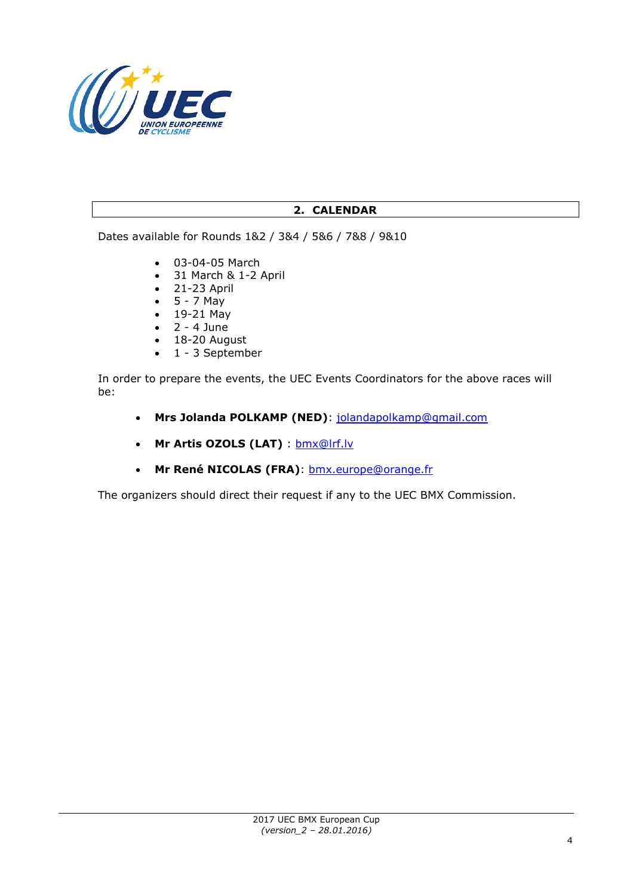

# **2. CALENDAR**

Dates available for Rounds 1&2 / 3&4 / 5&6 / 7&8 / 9&10

- 03-04-05 March
- 31 March & 1-2 April
- 21-23 April
- $-5 7$  May
- 19-21 May
- $\bullet$  2 4 June
- 18-20 August  $\bullet$  1 - 3 September

In order to prepare the events, the UEC Events Coordinators for the above races will be:

- **Mrs Jolanda POLKAMP (NED)**: [jolandapolkamp@gmail.com](mailto:jolandapolkamp@gmail.com)
- **Mr Artis OZOLS (LAT)** : [bmx@lrf.lv](mailto:bmx@lrf.lv)
- **Mr René NICOLAS (FRA)**: [bmx.europe@orange.fr](mailto:bmx.europe@orange.fr)

The organizers should direct their request if any to the UEC BMX Commission.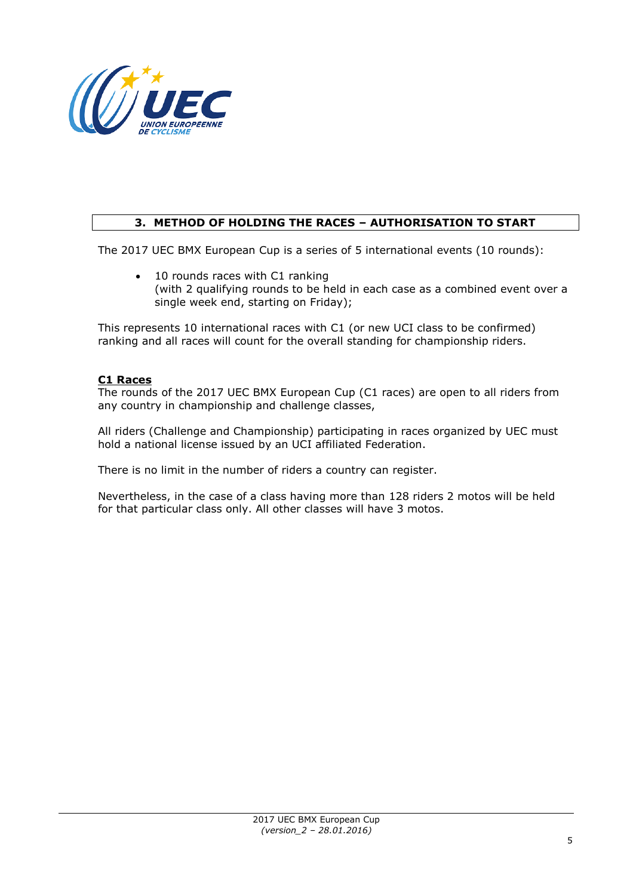

# **3. METHOD OF HOLDING THE RACES – AUTHORISATION TO START**

The 2017 UEC BMX European Cup is a series of 5 international events (10 rounds):

• 10 rounds races with C1 ranking (with 2 qualifying rounds to be held in each case as a combined event over a single week end, starting on Friday);

This represents 10 international races with C1 (or new UCI class to be confirmed) ranking and all races will count for the overall standing for championship riders.

### **C1 Races**

The rounds of the 2017 UEC BMX European Cup (C1 races) are open to all riders from any country in championship and challenge classes,

All riders (Challenge and Championship) participating in races organized by UEC must hold a national license issued by an UCI affiliated Federation.

There is no limit in the number of riders a country can register.

Nevertheless, in the case of a class having more than 128 riders 2 motos will be held for that particular class only. All other classes will have 3 motos.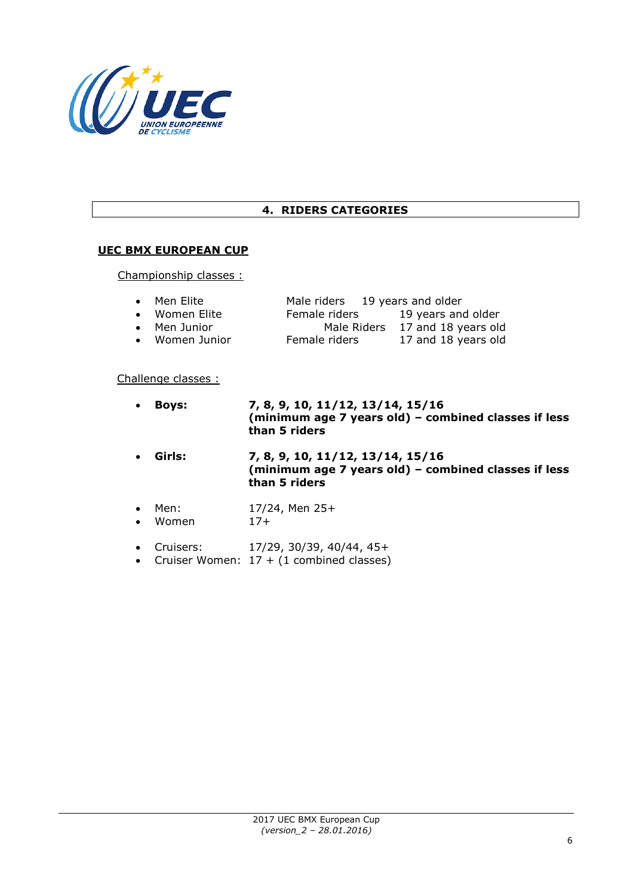

# **4. RIDERS CATEGORIES**

### **UEC BMX EUROPEAN CUP**

Championship classes :

| $\bullet$ Men Elite  | Male riders 19 years and older |                                 |
|----------------------|--------------------------------|---------------------------------|
| • Women Elite        | Female riders                  | 19 years and older              |
| $\bullet$ Men Junior |                                | Male Riders 17 and 18 years old |
| • Women Junior       | Female riders                  | 17 and 18 years old             |
|                      |                                |                                 |

#### Challenge classes :

| $\bullet$              | <b>Boys:</b>  | 7, 8, 9, 10, 11/12, 13/14, 15/16<br>(minimum age 7 years old) - combined classes if less<br>than 5 riders |
|------------------------|---------------|-----------------------------------------------------------------------------------------------------------|
| $\bullet$              | Girls:        | 7, 8, 9, 10, 11/12, 13/14, 15/16<br>(minimum age 7 years old) - combined classes if less<br>than 5 riders |
| $\bullet$<br>$\bullet$ | Men:<br>Women | $17/24$ , Men $25+$<br>$17+$                                                                              |

- 
- Cruisers: 17/29, 30/39, 40/44, 45+
- Cruiser Women:  $17 + (1 \text{ combined classes})$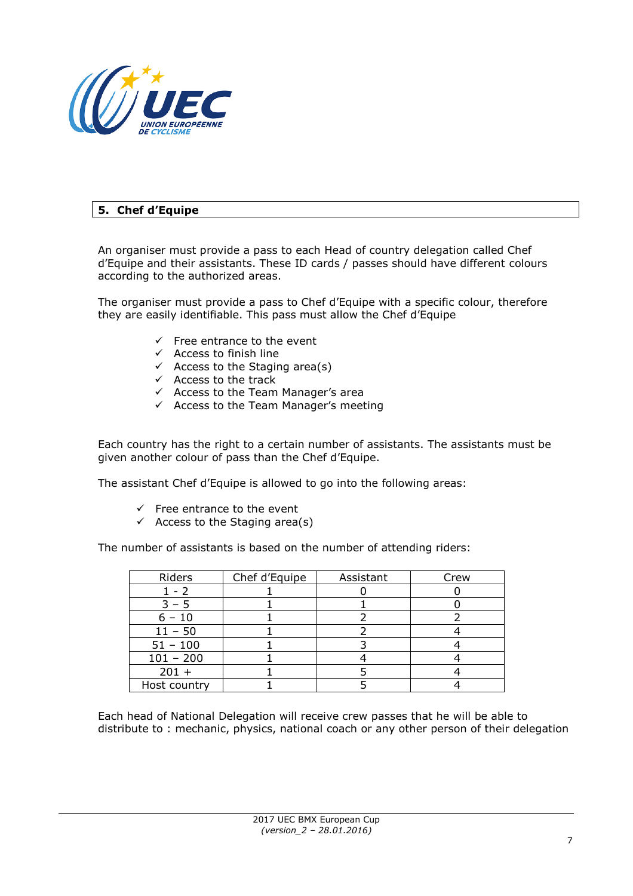

# **5. Chef d'Equipe**

An organiser must provide a pass to each Head of country delegation called Chef d'Equipe and their assistants. These ID cards / passes should have different colours according to the authorized areas.

The organiser must provide a pass to Chef d'Equipe with a specific colour, therefore they are easily identifiable. This pass must allow the Chef d'Equipe

- $\checkmark$  Free entrance to the event
- $\checkmark$  Access to finish line
- $\checkmark$  Access to the Staging area(s)
- $\checkmark$  Access to the track
- $\checkmark$  Access to the Team Manager's area
- $\checkmark$  Access to the Team Manager's meeting

Each country has the right to a certain number of assistants. The assistants must be given another colour of pass than the Chef d'Equipe.

The assistant Chef d'Equipe is allowed to go into the following areas:

- $\checkmark$  Free entrance to the event
- $\checkmark$  Access to the Staging area(s)

The number of assistants is based on the number of attending riders:

| Riders       | Chef d'Equipe | Assistant | Crew |
|--------------|---------------|-----------|------|
| - 2          |               |           |      |
|              |               |           |      |
| $-10$        |               |           |      |
| $11 - 50$    |               |           |      |
| $51 - 100$   |               |           |      |
| $101 - 200$  |               |           |      |
| $201 +$      |               |           |      |
| Host country |               |           |      |

Each head of National Delegation will receive crew passes that he will be able to distribute to : mechanic, physics, national coach or any other person of their delegation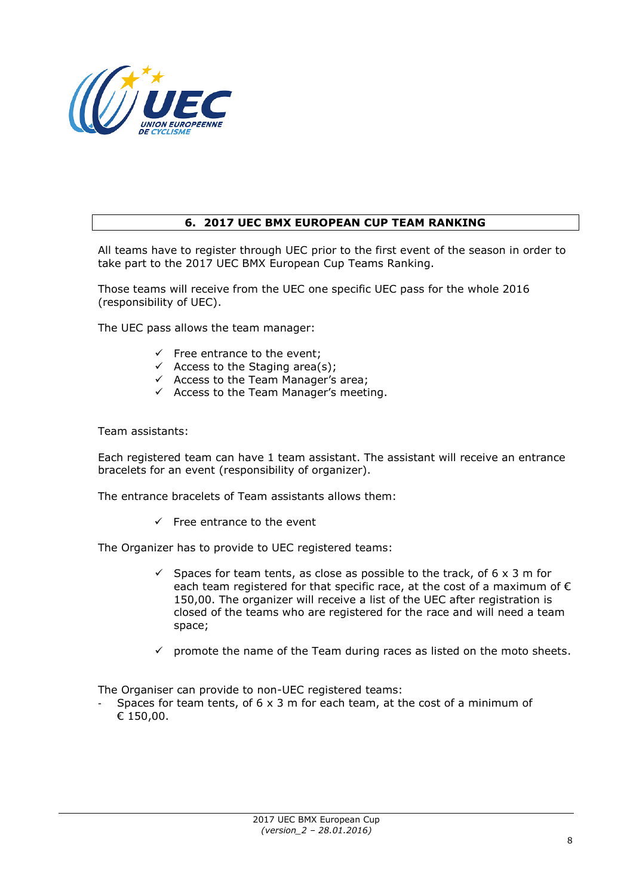

### **6. 2017 UEC BMX EUROPEAN CUP TEAM RANKING**

All teams have to register through UEC prior to the first event of the season in order to take part to the 2017 UEC BMX European Cup Teams Ranking.

Those teams will receive from the UEC one specific UEC pass for the whole 2016 (responsibility of UEC).

The UEC pass allows the team manager:

- $\checkmark$  Free entrance to the event;
- $\checkmark$  Access to the Staging area(s);
- $\checkmark$  Access to the Team Manager's area;
- $\checkmark$  Access to the Team Manager's meeting.

Team assistants:

Each registered team can have 1 team assistant. The assistant will receive an entrance bracelets for an event (responsibility of organizer).

The entrance bracelets of Team assistants allows them:

 $\checkmark$  Free entrance to the event

The Organizer has to provide to UEC registered teams:

- $\checkmark$  Spaces for team tents, as close as possible to the track, of 6 x 3 m for each team registered for that specific race, at the cost of a maximum of  $\epsilon$ 150,00. The organizer will receive a list of the UEC after registration is closed of the teams who are registered for the race and will need a team space;
- $\checkmark$  promote the name of the Team during races as listed on the moto sheets.

The Organiser can provide to non-UEC registered teams:

Spaces for team tents, of  $6 \times 3$  m for each team, at the cost of a minimum of € 150,00.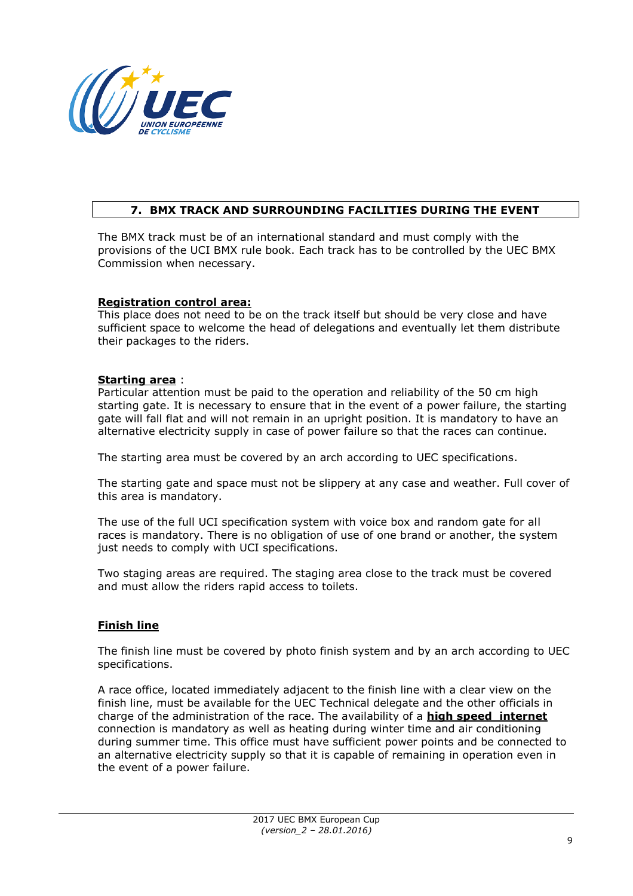

## **7. BMX TRACK AND SURROUNDING FACILITIES DURING THE EVENT**

The BMX track must be of an international standard and must comply with the provisions of the UCI BMX rule book. Each track has to be controlled by the UEC BMX Commission when necessary.

### **Registration control area:**

This place does not need to be on the track itself but should be very close and have sufficient space to welcome the head of delegations and eventually let them distribute their packages to the riders.

#### **Starting area** :

Particular attention must be paid to the operation and reliability of the 50 cm high starting gate. It is necessary to ensure that in the event of a power failure, the starting gate will fall flat and will not remain in an upright position. It is mandatory to have an alternative electricity supply in case of power failure so that the races can continue.

The starting area must be covered by an arch according to UEC specifications.

The starting gate and space must not be slippery at any case and weather. Full cover of this area is mandatory.

The use of the full UCI specification system with voice box and random gate for all races is mandatory. There is no obligation of use of one brand or another, the system just needs to comply with UCI specifications.

Two staging areas are required. The staging area close to the track must be covered and must allow the riders rapid access to toilets.

### **Finish line**

The finish line must be covered by photo finish system and by an arch according to UEC specifications.

A race office, located immediately adjacent to the finish line with a clear view on the finish line, must be available for the UEC Technical delegate and the other officials in charge of the administration of the race. The availability of a **high speed internet** connection is mandatory as well as heating during winter time and air conditioning during summer time. This office must have sufficient power points and be connected to an alternative electricity supply so that it is capable of remaining in operation even in the event of a power failure.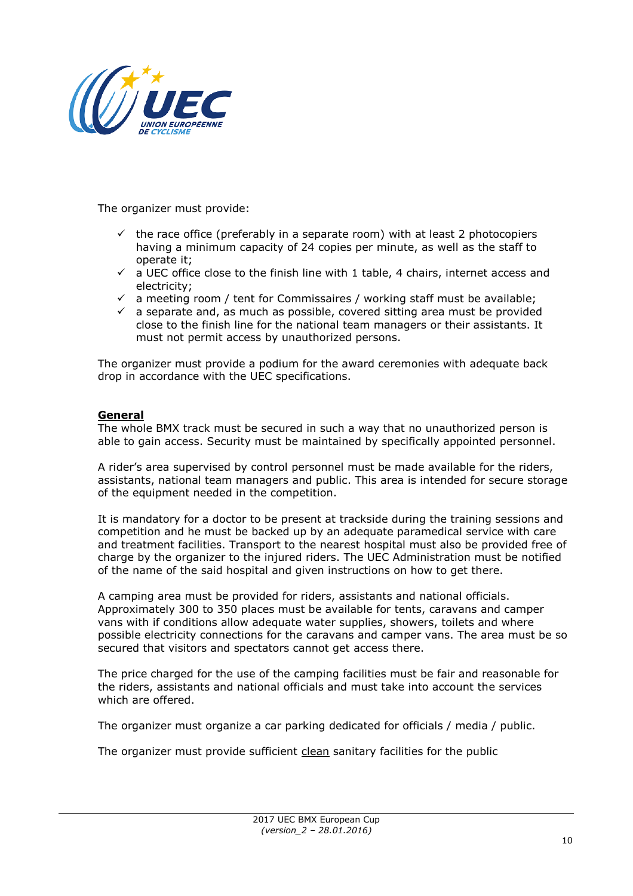

The organizer must provide:

- $\checkmark$  the race office (preferably in a separate room) with at least 2 photocopiers having a minimum capacity of 24 copies per minute, as well as the staff to operate it;
- $\checkmark$  a UEC office close to the finish line with 1 table, 4 chairs, internet access and electricity;
- $\checkmark$  a meeting room / tent for Commissaires / working staff must be available;
- $\checkmark$  a separate and, as much as possible, covered sitting area must be provided close to the finish line for the national team managers or their assistants. It must not permit access by unauthorized persons.

The organizer must provide a podium for the award ceremonies with adequate back drop in accordance with the UEC specifications.

### **General**

The whole BMX track must be secured in such a way that no unauthorized person is able to gain access. Security must be maintained by specifically appointed personnel.

A rider's area supervised by control personnel must be made available for the riders, assistants, national team managers and public. This area is intended for secure storage of the equipment needed in the competition.

It is mandatory for a doctor to be present at trackside during the training sessions and competition and he must be backed up by an adequate paramedical service with care and treatment facilities. Transport to the nearest hospital must also be provided free of charge by the organizer to the injured riders. The UEC Administration must be notified of the name of the said hospital and given instructions on how to get there.

A camping area must be provided for riders, assistants and national officials. Approximately 300 to 350 places must be available for tents, caravans and camper vans with if conditions allow adequate water supplies, showers, toilets and where possible electricity connections for the caravans and camper vans. The area must be so secured that visitors and spectators cannot get access there.

The price charged for the use of the camping facilities must be fair and reasonable for the riders, assistants and national officials and must take into account the services which are offered.

The organizer must organize a car parking dedicated for officials / media / public.

The organizer must provide sufficient clean sanitary facilities for the public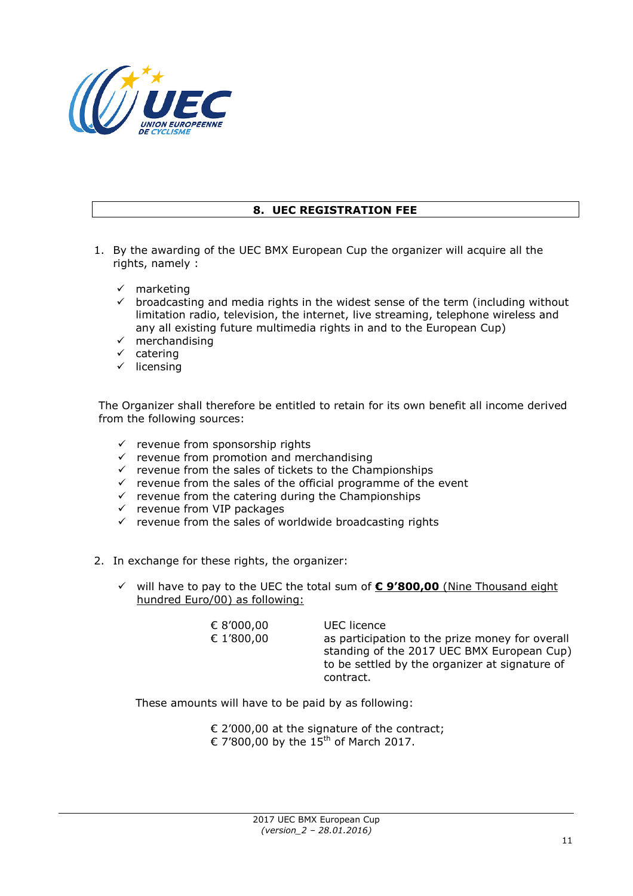

## **8. UEC REGISTRATION FEE**

- 1. By the awarding of the UEC BMX European Cup the organizer will acquire all the rights, namely :
	- $\checkmark$  marketing
	- $\checkmark$  broadcasting and media rights in the widest sense of the term (including without limitation radio, television, the internet, live streaming, telephone wireless and any all existing future multimedia rights in and to the European Cup)
	- $\checkmark$  merchandising
	- $\checkmark$  catering
	- $\checkmark$  licensing

The Organizer shall therefore be entitled to retain for its own benefit all income derived from the following sources:

- $\checkmark$  revenue from sponsorship rights
- $\checkmark$  revenue from promotion and merchandising
- $\checkmark$  revenue from the sales of tickets to the Championships
- $\checkmark$  revenue from the sales of the official programme of the event
- $\checkmark$  revenue from the catering during the Championships
- $\checkmark$  revenue from VIP packages
- $\checkmark$  revenue from the sales of worldwide broadcasting rights
- 2. In exchange for these rights, the organizer:
	- will have to pay to the UEC the total sum of **€ 9'800,00** (Nine Thousand eight hundred Euro/00) as following:

| € 8'000,00<br>€ 1'800,00 | UEC licence<br>as participation to the prize money for overall<br>standing of the 2017 UEC BMX European Cup)<br>to be settled by the organizer at signature of<br>contract. |
|--------------------------|-----------------------------------------------------------------------------------------------------------------------------------------------------------------------------|
|--------------------------|-----------------------------------------------------------------------------------------------------------------------------------------------------------------------------|

These amounts will have to be paid by as following:

€ 2'000,00 at the signature of the contract; € 7'800,00 by the  $15^{th}$  of March 2017.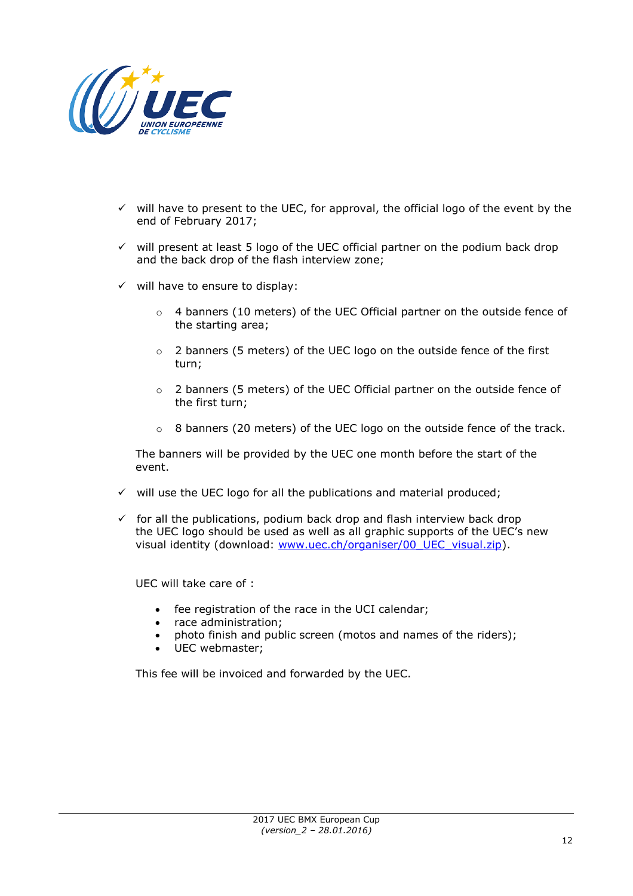

- $\checkmark$  will have to present to the UEC, for approval, the official logo of the event by the end of February 2017;
- $\checkmark$  will present at least 5 logo of the UEC official partner on the podium back drop and the back drop of the flash interview zone;
- $\checkmark$  will have to ensure to display:
	- o 4 banners (10 meters) of the UEC Official partner on the outside fence of the starting area;
	- o 2 banners (5 meters) of the UEC logo on the outside fence of the first turn;
	- o 2 banners (5 meters) of the UEC Official partner on the outside fence of the first turn;
	- $\circ$  8 banners (20 meters) of the UEC logo on the outside fence of the track.

The banners will be provided by the UEC one month before the start of the event.

- $\checkmark$  will use the UEC logo for all the publications and material produced;
- $\checkmark$  for all the publications, podium back drop and flash interview back drop the UEC logo should be used as well as all graphic supports of the UEC's new visual identity (download: [www.uec.ch/organiser/00\\_UEC\\_visual.zip\)](http://www.uec.ch/organiser/00_UEC_visual.zip).

UEC will take care of :

- fee registration of the race in the UCI calendar;
- race administration;
- photo finish and public screen (motos and names of the riders);
- UEC webmaster;

This fee will be invoiced and forwarded by the UEC.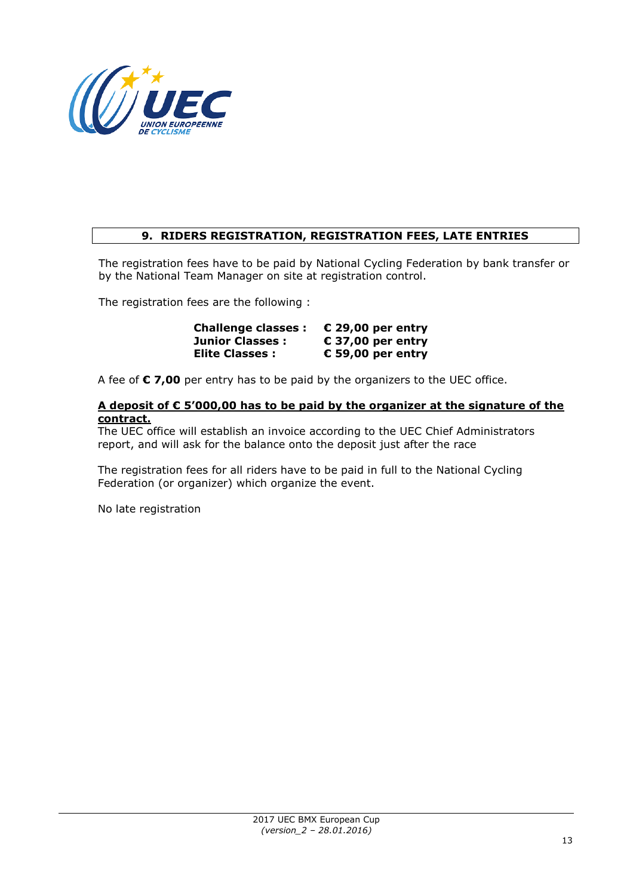

# **9. RIDERS REGISTRATION, REGISTRATION FEES, LATE ENTRIES**

The registration fees have to be paid by National Cycling Federation by bank transfer or by the National Team Manager on site at registration control.

The registration fees are the following :

**Challenge classes : € 29,00 per entry Junior Classes : € 37,00 per entry Elite Classes : € 59,00 per entry**

A fee of **€ 7,00** per entry has to be paid by the organizers to the UEC office.

#### **A deposit of € 5'000,00 has to be paid by the organizer at the signature of the contract.**

The UEC office will establish an invoice according to the UEC Chief Administrators report, and will ask for the balance onto the deposit just after the race

The registration fees for all riders have to be paid in full to the National Cycling Federation (or organizer) which organize the event.

No late registration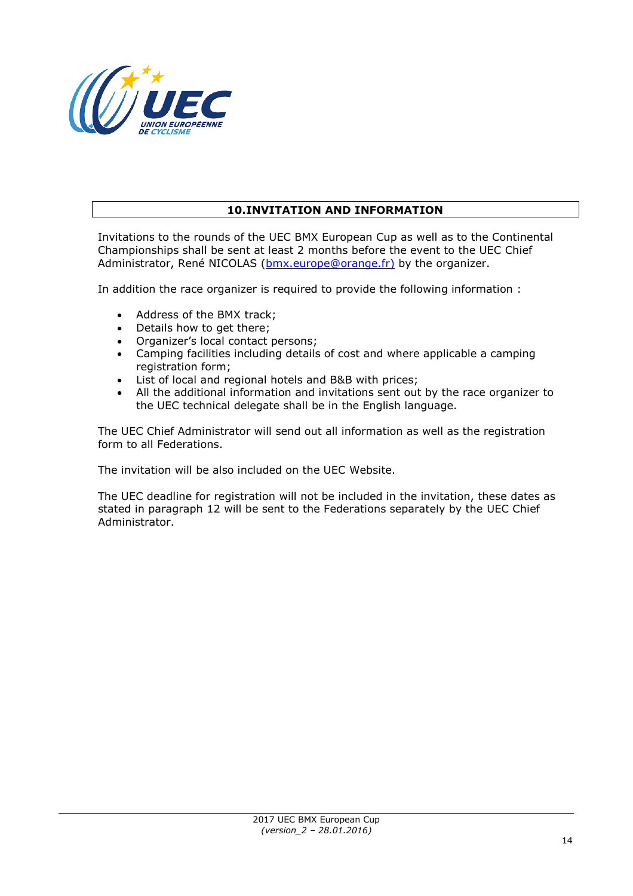

## **10.INVITATION AND INFORMATION**

Invitations to the rounds of the UEC BMX European Cup as well as to the Continental Championships shall be sent at least 2 months before the event to the UEC Chief Administrator, René NICOLAS [\(bmx.europe@orange.fr\)](mailto:bmx.europe@orange.fr) by the organizer.

In addition the race organizer is required to provide the following information :

- Address of the BMX track;
- Details how to get there;
- Organizer's local contact persons;
- Camping facilities including details of cost and where applicable a camping registration form;
- List of local and regional hotels and B&B with prices;
- All the additional information and invitations sent out by the race organizer to the UEC technical delegate shall be in the English language.

The UEC Chief Administrator will send out all information as well as the registration form to all Federations.

The invitation will be also included on the UEC Website.

The UEC deadline for registration will not be included in the invitation, these dates as stated in paragraph 12 will be sent to the Federations separately by the UEC Chief Administrator.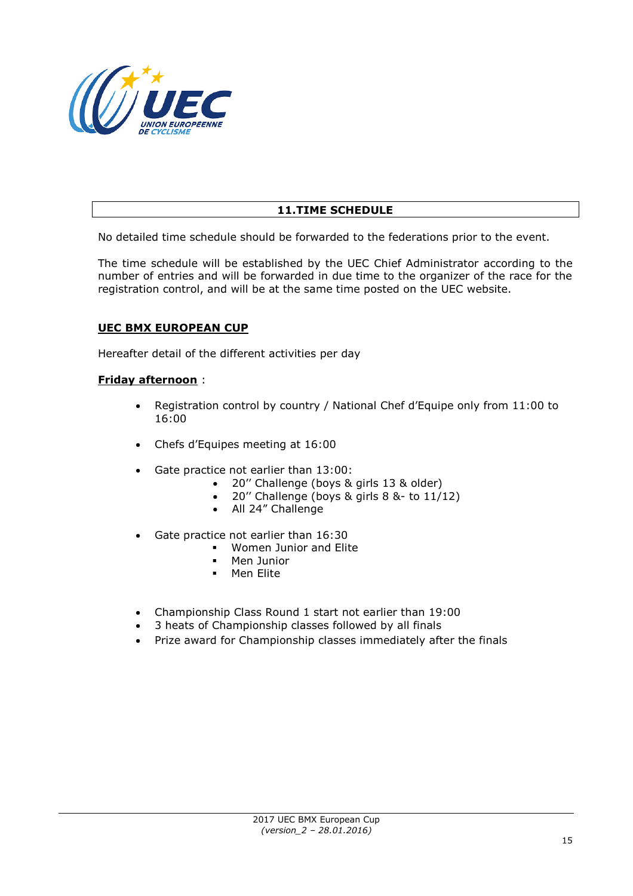

# **11.TIME SCHEDULE**

No detailed time schedule should be forwarded to the federations prior to the event.

The time schedule will be established by the UEC Chief Administrator according to the number of entries and will be forwarded in due time to the organizer of the race for the registration control, and will be at the same time posted on the UEC website.

### **UEC BMX EUROPEAN CUP**

Hereafter detail of the different activities per day

#### **Friday afternoon** :

- Registration control by country / National Chef d'Equipe only from 11:00 to 16:00
- Chefs d'Equipes meeting at 16:00
- Gate practice not earlier than 13:00:
	- 20'' Challenge (boys & girls 13 & older)
	- 20'' Challenge (boys & girls 8 &- to 11/12)
	- All 24" Challenge
- Gate practice not earlier than 16:30
	- **Women Junior and Elite**<br>**•** Men Junior
	- Men Junior
	- **Men Elite**
- Championship Class Round 1 start not earlier than 19:00
- 3 heats of Championship classes followed by all finals
- Prize award for Championship classes immediately after the finals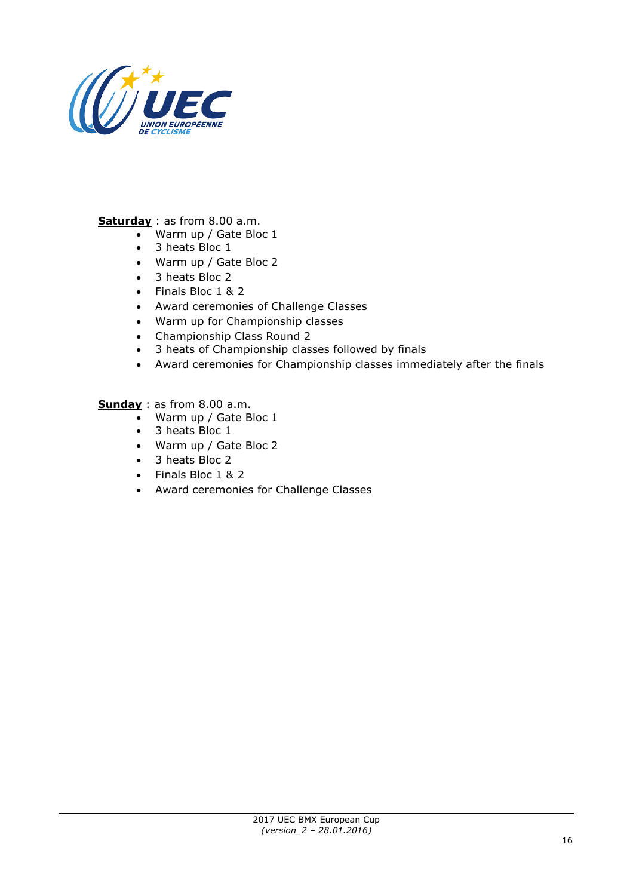

**Saturday** : as from 8.00 a.m.

- Warm up / Gate Bloc 1
- 3 heats Bloc 1
- Warm up / Gate Bloc 2
- 3 heats Bloc 2
- Finals Bloc 1 & 2
- Award ceremonies of Challenge Classes
- Warm up for Championship classes
- Championship Class Round 2
- 3 heats of Championship classes followed by finals
- Award ceremonies for Championship classes immediately after the finals

**Sunday** : as from 8.00 a.m.

- Warm up / Gate Bloc 1
- 3 heats Bloc 1
- Warm up / Gate Bloc 2
- 3 heats Bloc 2
- Finals Bloc 1 & 2
- Award ceremonies for Challenge Classes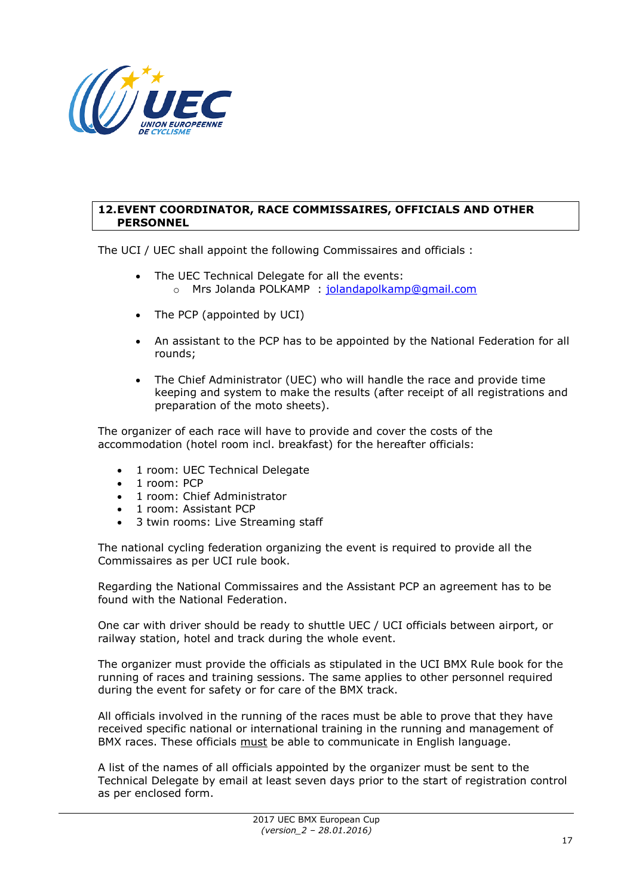

#### **12.EVENT COORDINATOR, RACE COMMISSAIRES, OFFICIALS AND OTHER PERSONNEL**

The UCI / UEC shall appoint the following Commissaires and officials :

- The UEC Technical Delegate for all the events:
	- o Mrs Jolanda POLKAMP : [jolandapolkamp@gmail.com](mailto:jolandapolkamp@gmail.com)
- The PCP (appointed by UCI)
- An assistant to the PCP has to be appointed by the National Federation for all rounds;
- The Chief Administrator (UEC) who will handle the race and provide time keeping and system to make the results (after receipt of all registrations and preparation of the moto sheets).

The organizer of each race will have to provide and cover the costs of the accommodation (hotel room incl. breakfast) for the hereafter officials:

- 1 room: UEC Technical Delegate
- 1 room: PCP
- 1 room: Chief Administrator
- 1 room: Assistant PCP
- 3 twin rooms: Live Streaming staff

The national cycling federation organizing the event is required to provide all the Commissaires as per UCI rule book.

Regarding the National Commissaires and the Assistant PCP an agreement has to be found with the National Federation.

One car with driver should be ready to shuttle UEC / UCI officials between airport, or railway station, hotel and track during the whole event.

The organizer must provide the officials as stipulated in the UCI BMX Rule book for the running of races and training sessions. The same applies to other personnel required during the event for safety or for care of the BMX track.

All officials involved in the running of the races must be able to prove that they have received specific national or international training in the running and management of BMX races. These officials must be able to communicate in English language.

A list of the names of all officials appointed by the organizer must be sent to the Technical Delegate by email at least seven days prior to the start of registration control as per enclosed form.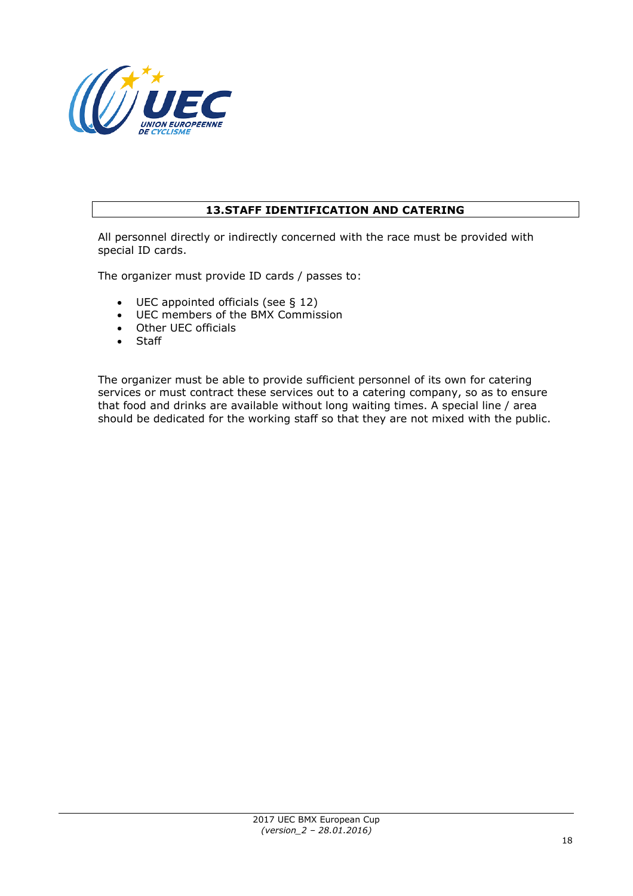

# **13.STAFF IDENTIFICATION AND CATERING**

All personnel directly or indirectly concerned with the race must be provided with special ID cards.

The organizer must provide ID cards / passes to:

- UEC appointed officials (see § 12)
- UEC members of the BMX Commission
- Other UEC officials
- Staff

The organizer must be able to provide sufficient personnel of its own for catering services or must contract these services out to a catering company, so as to ensure that food and drinks are available without long waiting times. A special line / area should be dedicated for the working staff so that they are not mixed with the public.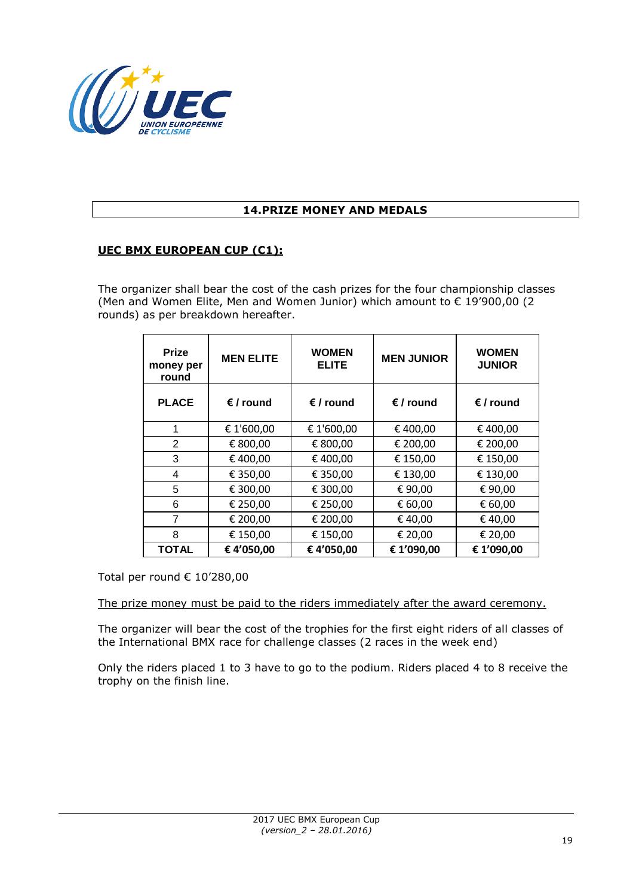

## **14.PRIZE MONEY AND MEDALS**

### **UEC BMX EUROPEAN CUP (C1):**

The organizer shall bear the cost of the cash prizes for the four championship classes (Men and Women Elite, Men and Women Junior) which amount to € 19'900,00 (2 rounds) as per breakdown hereafter.

| <b>Prize</b><br>money per<br>round | <b>MEN ELITE</b>   | <b>WOMEN</b><br><b>ELITE</b> | <b>MEN JUNIOR</b>  | <b>WOMEN</b><br><b>JUNIOR</b> |
|------------------------------------|--------------------|------------------------------|--------------------|-------------------------------|
| <b>PLACE</b>                       | $\epsilon$ / round | $\epsilon$ / round           | $\epsilon$ / round | $\epsilon$ / round            |
| 1                                  | € 1'600,00         | € 1'600,00                   | € 400,00           | €400,00                       |
| 2                                  | € 800,00           | € 800,00                     | € 200,00           | € 200,00                      |
| 3                                  | €400,00            | € 400,00                     | € 150,00           | € 150,00                      |
| 4                                  | € 350,00           | € 350,00                     | € 130,00           | € 130,00                      |
| 5                                  | € 300,00           | € 300,00                     | €90,00             | €90,00                        |
| 6                                  | € 250,00           | € 250,00                     | € 60,00            | € 60,00                       |
| 7                                  | € 200,00           | € 200,00                     | €40,00             | €40,00                        |
| 8                                  | € 150,00           | € 150,00                     | € 20,00            | € 20,00                       |
| <b>TOTAL</b>                       | €4'050,00          | €4'050,00                    | € 1'090,00         | € 1'090,00                    |

Total per round € 10'280,00

The prize money must be paid to the riders immediately after the award ceremony.

The organizer will bear the cost of the trophies for the first eight riders of all classes of the International BMX race for challenge classes (2 races in the week end)

Only the riders placed 1 to 3 have to go to the podium. Riders placed 4 to 8 receive the trophy on the finish line.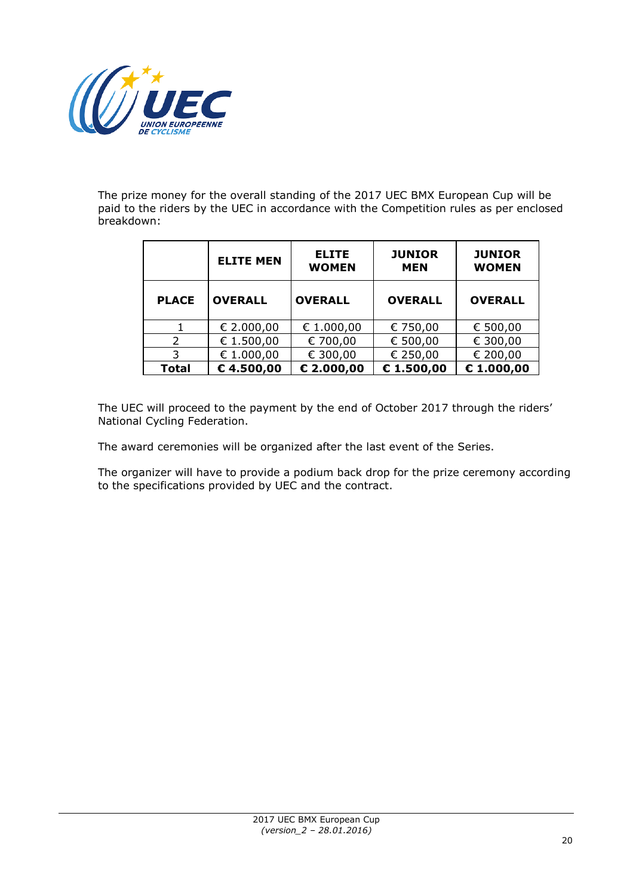

The prize money for the overall standing of the 2017 UEC BMX European Cup will be paid to the riders by the UEC in accordance with the Competition rules as per enclosed breakdown:

|              | <b>ELITE MEN</b> | <b>JUNIOR</b><br><b>ELITE</b><br><b>WOMEN</b> |                | <b>JUNIOR</b><br><b>WOMEN</b> |
|--------------|------------------|-----------------------------------------------|----------------|-------------------------------|
| <b>PLACE</b> | <b>OVERALL</b>   | <b>OVERALL</b>                                | <b>OVERALL</b> | <b>OVERALL</b>                |
|              | € 2.000,00       | € 1.000,00                                    | € 750,00       | € 500,00                      |
| 2            | € 1.500,00       | € 700,00                                      | € 500,00       | € 300,00                      |
| 3            | € 1.000,00       | € 300,00                                      | € 250,00       | € 200,00                      |
| <b>Total</b> | $E$ 4.500,00     | € 2.000,00                                    | € $1.500,00$   | € 1.000,00                    |

The UEC will proceed to the payment by the end of October 2017 through the riders' National Cycling Federation.

The award ceremonies will be organized after the last event of the Series.

The organizer will have to provide a podium back drop for the prize ceremony according to the specifications provided by UEC and the contract.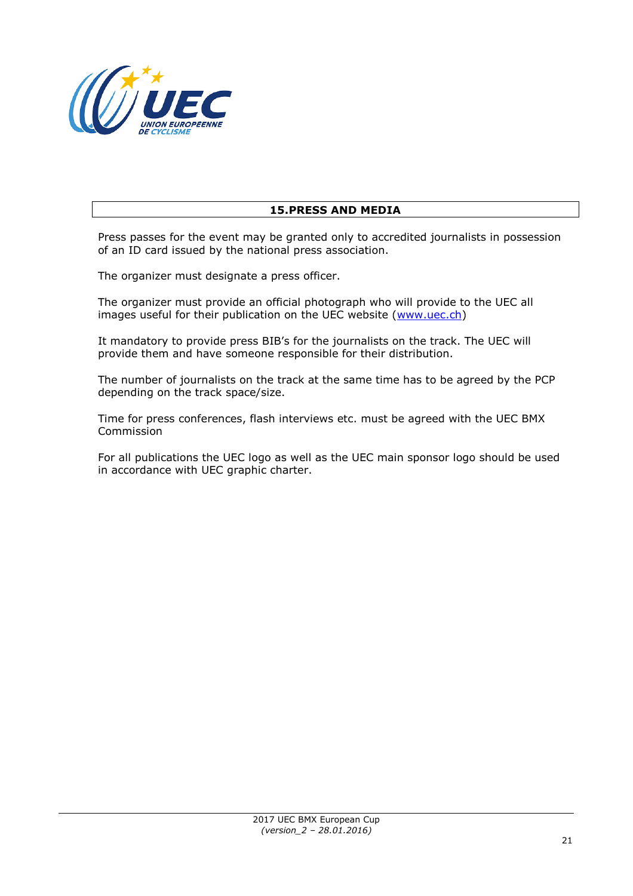

# **15.PRESS AND MEDIA**

Press passes for the event may be granted only to accredited journalists in possession of an ID card issued by the national press association.

The organizer must designate a press officer.

The organizer must provide an official photograph who will provide to the UEC all images useful for their publication on the UEC website [\(www.uec.ch\)](http://www.uec.ch/)

It mandatory to provide press BIB's for the journalists on the track. The UEC will provide them and have someone responsible for their distribution.

The number of journalists on the track at the same time has to be agreed by the PCP depending on the track space/size.

Time for press conferences, flash interviews etc. must be agreed with the UEC BMX Commission

For all publications the UEC logo as well as the UEC main sponsor logo should be used in accordance with UEC graphic charter.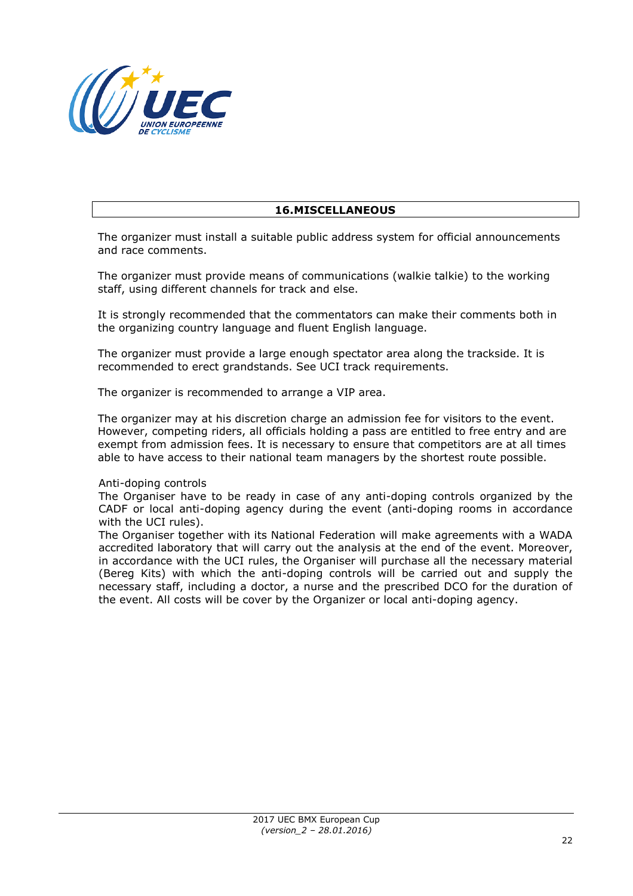

## **16.MISCELLANEOUS**

The organizer must install a suitable public address system for official announcements and race comments.

The organizer must provide means of communications (walkie talkie) to the working staff, using different channels for track and else.

It is strongly recommended that the commentators can make their comments both in the organizing country language and fluent English language.

The organizer must provide a large enough spectator area along the trackside. It is recommended to erect grandstands. See UCI track requirements.

The organizer is recommended to arrange a VIP area.

The organizer may at his discretion charge an admission fee for visitors to the event. However, competing riders, all officials holding a pass are entitled to free entry and are exempt from admission fees. It is necessary to ensure that competitors are at all times able to have access to their national team managers by the shortest route possible.

#### Anti-doping controls

The Organiser have to be ready in case of any anti-doping controls organized by the CADF or local anti-doping agency during the event (anti-doping rooms in accordance with the UCI rules).

The Organiser together with its National Federation will make agreements with a WADA accredited laboratory that will carry out the analysis at the end of the event. Moreover, in accordance with the UCI rules, the Organiser will purchase all the necessary material (Bereg Kits) with which the anti-doping controls will be carried out and supply the necessary staff, including a doctor, a nurse and the prescribed DCO for the duration of the event. All costs will be cover by the Organizer or local anti-doping agency.